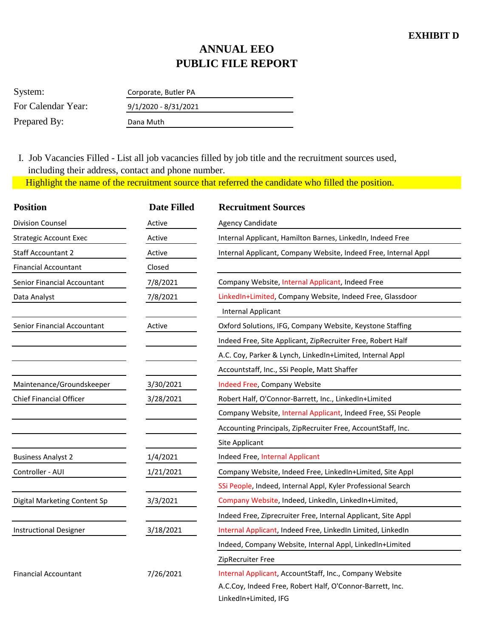## **ANNUAL EEO PUBLIC FILE REPORT**

| System:            | Corporate, Butler PA   |
|--------------------|------------------------|
| For Calendar Year: | $9/1/2020 - 8/31/2021$ |
| Prepared By:       | Dana Muth              |

 Highlight the name of the recruitment source that referred the candidate who filled the position. I. Job Vacancies Filled - List all job vacancies filled by job title and the recruitment sources used, including their address, contact and phone number.

| <b>Position</b>               | <b>Date Filled</b> | <b>Recruitment Sources</b>                                      |  |
|-------------------------------|--------------------|-----------------------------------------------------------------|--|
| <b>Division Counsel</b>       | Active             | <b>Agency Candidate</b>                                         |  |
| <b>Strategic Account Exec</b> | Active             | Internal Applicant, Hamilton Barnes, LinkedIn, Indeed Free      |  |
| <b>Staff Accountant 2</b>     | Active             | Internal Applicant, Company Website, Indeed Free, Internal Appl |  |
| <b>Financial Accountant</b>   | Closed             |                                                                 |  |
| Senior Financial Accountant   | 7/8/2021           | Company Website, Internal Applicant, Indeed Free                |  |
| Data Analyst                  | 7/8/2021           | LinkedIn+Limited, Company Website, Indeed Free, Glassdoor       |  |
|                               |                    | <b>Internal Applicant</b>                                       |  |
| Senior Financial Accountant   | Active             | Oxford Solutions, IFG, Company Website, Keystone Staffing       |  |
|                               |                    | Indeed Free, Site Applicant, ZipRecruiter Free, Robert Half     |  |
|                               |                    | A.C. Coy, Parker & Lynch, LinkedIn+Limited, Internal Appl       |  |
|                               |                    | Accountstaff, Inc., SSi People, Matt Shaffer                    |  |
| Maintenance/Groundskeeper     | 3/30/2021          | Indeed Free, Company Website                                    |  |
| Chief Financial Officer       | 3/28/2021          | Robert Half, O'Connor-Barrett, Inc., LinkedIn+Limited           |  |
|                               |                    | Company Website, Internal Applicant, Indeed Free, SSi People    |  |
|                               |                    | Accounting Principals, ZipRecruiter Free, AccountStaff, Inc.    |  |
|                               |                    | Site Applicant                                                  |  |
| <b>Business Analyst 2</b>     | 1/4/2021           | Indeed Free, Internal Applicant                                 |  |
| Controller - AUI              | 1/21/2021          | Company Website, Indeed Free, LinkedIn+Limited, Site Appl       |  |
|                               |                    | SSi People, Indeed, Internal Appl, Kyler Professional Search    |  |
| Digital Marketing Content Sp  | 3/3/2021           | Company Website, Indeed, LinkedIn, LinkedIn+Limited,            |  |
|                               |                    | Indeed Free, Ziprecruiter Free, Internal Applicant, Site Appl   |  |
| <b>Instructional Designer</b> | 3/18/2021          | Internal Applicant, Indeed Free, LinkedIn Limited, LinkedIn     |  |
|                               |                    | Indeed, Company Website, Internal Appl, LinkedIn+Limited        |  |
|                               |                    | ZipRecruiter Free                                               |  |
| <b>Financial Accountant</b>   | 7/26/2021          | Internal Applicant, AccountStaff, Inc., Company Website         |  |
|                               |                    | A.C.Coy, Indeed Free, Robert Half, O'Connor-Barrett, Inc.       |  |
|                               |                    | LinkedIn+Limited, IFG                                           |  |